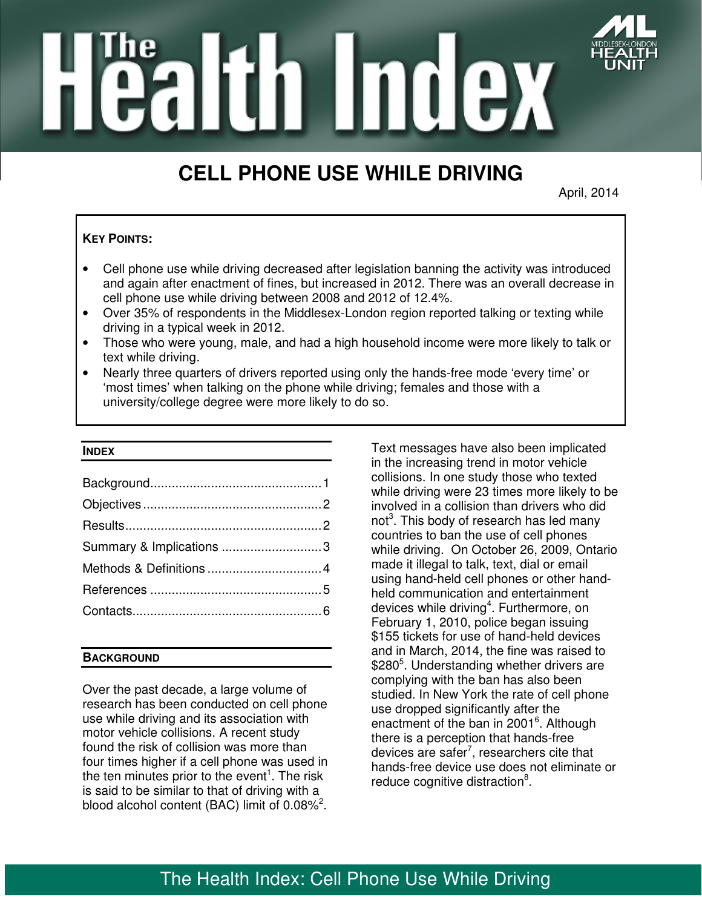

**Tealtin Index** 

# **CELL PHONE USE WHILE DRIVING**

April, 2014

# **KEY POINTS:**

- Cell phone use while driving decreased after legislation banning the activity was introduced and again after enactment of fines, but increased in 2012. There was an overall decrease in cell phone use while driving between 2008 and 2012 of 12.4%.
- Over 35% of respondents in the Middlesex-London region reported talking or texting while driving in a typical week in 2012.
- Those who were young, male, and had a high household income were more likely to talk or text while driving.
- Nearly three quarters of drivers reported using only the hands-free mode 'every time' or 'most times' when talking on the phone while driving; females and those with a university/college degree were more likely to do so.

### **INDEX**

| Summary & Implications 3 |  |
|--------------------------|--|
|                          |  |
|                          |  |
|                          |  |

# **BACKGROUND**

Over the past decade, a large volume of research has been conducted on cell phone use while driving and its association with motor vehicle collisions. A recent study found the risk of collision was more than four times higher if a cell phone was used in the ten minutes prior to the event<sup>1</sup>. The risk is said to be similar to that of driving with a blood alcohol content (BAC) limit of  $0.08\%^2$ .

Text messages have also been implicated in the increasing trend in motor vehicle collisions. In one study those who texted while driving were 23 times more likely to be involved in a collision than drivers who did not<sup>3</sup>. This body of research has led many countries to ban the use of cell phones while driving. On October 26, 2009, Ontario made it illegal to talk, text, dial or email using hand-held cell phones or other handheld communication and entertainment devices while driving<sup>4</sup>. Furthermore, on February 1, 2010, police began issuing \$155 tickets for use of hand-held devices and in March, 2014, the fine was raised to \$280<sup>5</sup>. Understanding whether drivers are complying with the ban has also been studied. In New York the rate of cell phone use dropped significantly after the enactment of the ban in 2001<sup>6</sup>. Although there is a perception that hands-free devices are safer<sup>7</sup>, researchers cite that hands-free device use does not eliminate or reduce cognitive distraction<sup>8</sup>.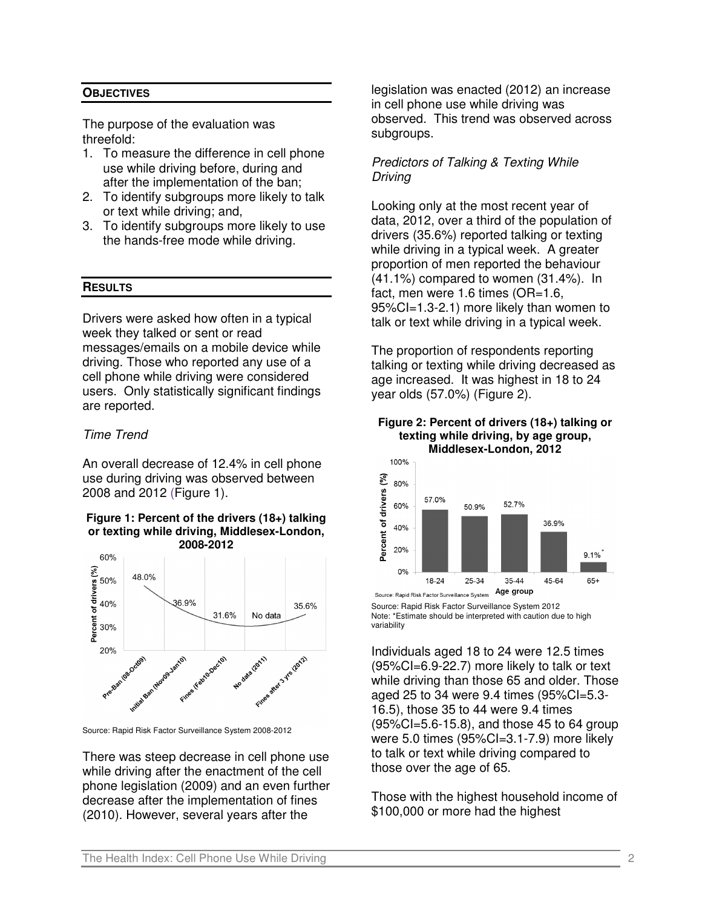## **OBJECTIVES**

The purpose of the evaluation was threefold:

- 1. To measure the difference in cell phone use while driving before, during and after the implementation of the ban;
- 2. To identify subgroups more likely to talk or text while driving; and,
- 3. To identify subgroups more likely to use the hands-free mode while driving.

## **RESULTS**

Drivers were asked how often in a typical week they talked or sent or read messages/emails on a mobile device while driving. Those who reported any use of a cell phone while driving were considered users. Only statistically significant findings are reported.

## Time Trend

An overall decrease of 12.4% in cell phone use during driving was observed between 2008 and 2012 (Figure 1).

#### **Figure 1: Percent of the drivers (18+) talking or texting while driving, Middlesex-London, 2008-2012**



Source: Rapid Risk Factor Surveillance System 2008-2012

There was steep decrease in cell phone use while driving after the enactment of the cell phone legislation (2009) and an even further decrease after the implementation of fines (2010). However, several years after the

legislation was enacted (2012) an increase in cell phone use while driving was observed. This trend was observed across subgroups.

# Predictors of Talking & Texting While Driving

Looking only at the most recent year of data, 2012, over a third of the population of drivers (35.6%) reported talking or texting while driving in a typical week. A greater proportion of men reported the behaviour (41.1%) compared to women (31.4%). In fact, men were 1.6 times (OR=1.6, 95%CI=1.3-2.1) more likely than women to talk or text while driving in a typical week.

The proportion of respondents reporting talking or texting while driving decreased as age increased. It was highest in 18 to 24 year olds (57.0%) (Figure 2).





Source: Rapid Risk Factor Surveillance System Source: Rapid Risk Factor Surveillance System 2012 Note: \*Estimate should be interpreted with caution due to high variability

Individuals aged 18 to 24 were 12.5 times (95%CI=6.9-22.7) more likely to talk or text while driving than those 65 and older. Those aged 25 to 34 were 9.4 times (95%CI=5.3- 16.5), those 35 to 44 were 9.4 times (95%CI=5.6-15.8), and those 45 to 64 group were 5.0 times (95%Cl=3.1-7.9) more likely to talk or text while driving compared to those over the age of 65.

Those with the highest household income of \$100,000 or more had the highest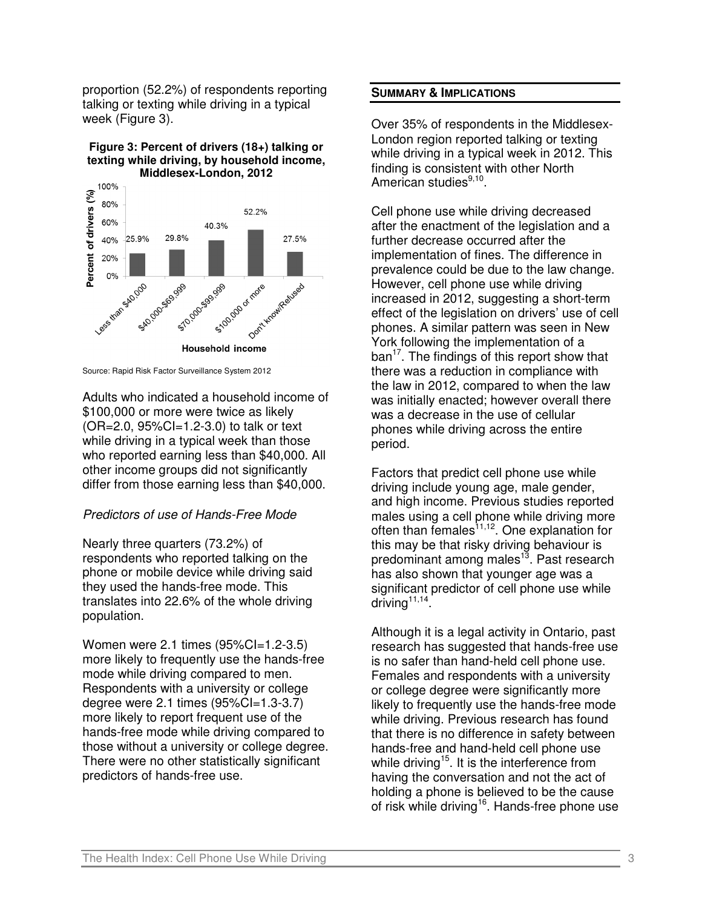proportion (52.2%) of respondents reporting talking or texting while driving in a typical week (Figure 3).





Source: Rapid Risk Factor Surveillance System 2012

Adults who indicated a household income of \$100,000 or more were twice as likely (OR=2.0, 95%CI=1.2-3.0) to talk or text while driving in a typical week than those who reported earning less than \$40,000. All other income groups did not significantly differ from those earning less than \$40,000.

# Predictors of use of Hands-Free Mode

Nearly three quarters (73.2%) of respondents who reported talking on the phone or mobile device while driving said they used the hands-free mode. This translates into 22.6% of the whole driving population.

Women were 2.1 times (95%CI=1.2-3.5) more likely to frequently use the hands-free mode while driving compared to men. Respondents with a university or college degree were 2.1 times (95%CI=1.3-3.7) more likely to report frequent use of the hands-free mode while driving compared to those without a university or college degree. There were no other statistically significant predictors of hands-free use.

## **SUMMARY & IMPLICATIONS**

Over 35% of respondents in the Middlesex-London region reported talking or texting while driving in a typical week in 2012. This finding is consistent with other North American studies<sup>9,10</sup>.

Cell phone use while driving decreased after the enactment of the legislation and a further decrease occurred after the implementation of fines. The difference in prevalence could be due to the law change. However, cell phone use while driving increased in 2012, suggesting a short-term effect of the legislation on drivers' use of cell phones. A similar pattern was seen in New York following the implementation of a ban<sup>17</sup>. The findings of this report show that there was a reduction in compliance with the law in 2012, compared to when the law was initially enacted; however overall there was a decrease in the use of cellular phones while driving across the entire period.

Factors that predict cell phone use while driving include young age, male gender, and high income. Previous studies reported males using a cell phone while driving more often than females $11,12$ . One explanation for this may be that risky driving behaviour is predominant among males<sup>13</sup>. Past research has also shown that younger age was a significant predictor of cell phone use while  $driving^{11,14}$ .

Although it is a legal activity in Ontario, past research has suggested that hands-free use is no safer than hand-held cell phone use. Females and respondents with a university or college degree were significantly more likely to frequently use the hands-free mode while driving. Previous research has found that there is no difference in safety between hands-free and hand-held cell phone use while driving<sup>15</sup>. It is the interference from having the conversation and not the act of holding a phone is believed to be the cause of risk while driving<sup>16</sup>. Hands-free phone use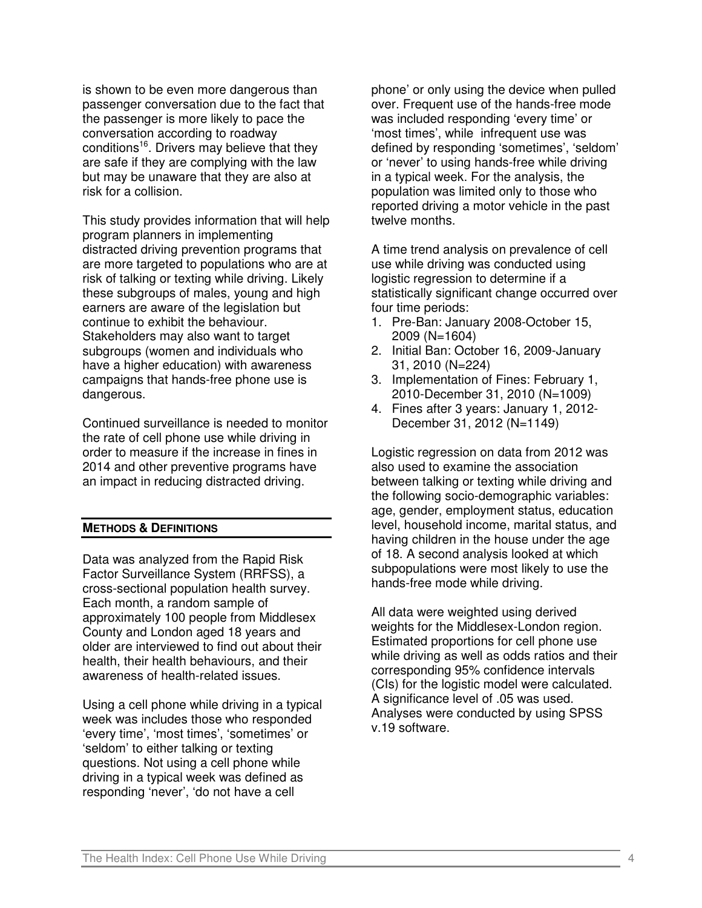is shown to be even more dangerous than passenger conversation due to the fact that the passenger is more likely to pace the conversation according to roadway conditions<sup>16</sup>. Drivers may believe that they are safe if they are complying with the law but may be unaware that they are also at risk for a collision.

This study provides information that will help program planners in implementing distracted driving prevention programs that are more targeted to populations who are at risk of talking or texting while driving. Likely these subgroups of males, young and high earners are aware of the legislation but continue to exhibit the behaviour. Stakeholders may also want to target subgroups (women and individuals who have a higher education) with awareness campaigns that hands-free phone use is dangerous.

Continued surveillance is needed to monitor the rate of cell phone use while driving in order to measure if the increase in fines in 2014 and other preventive programs have an impact in reducing distracted driving.

## **METHODS & DEFINITIONS**

Data was analyzed from the Rapid Risk Factor Surveillance System (RRFSS), a cross-sectional population health survey. Each month, a random sample of approximately 100 people from Middlesex County and London aged 18 years and older are interviewed to find out about their health, their health behaviours, and their awareness of health-related issues.

Using a cell phone while driving in a typical week was includes those who responded 'every time', 'most times', 'sometimes' or 'seldom' to either talking or texting questions. Not using a cell phone while driving in a typical week was defined as responding 'never', 'do not have a cell

phone' or only using the device when pulled over. Frequent use of the hands-free mode was included responding 'every time' or 'most times', while infrequent use was defined by responding 'sometimes', 'seldom' or 'never' to using hands-free while driving in a typical week. For the analysis, the population was limited only to those who reported driving a motor vehicle in the past twelve months.

A time trend analysis on prevalence of cell use while driving was conducted using logistic regression to determine if a statistically significant change occurred over four time periods:

- 1. Pre-Ban: January 2008-October 15, 2009 (N=1604)
- 2. Initial Ban: October 16, 2009-January 31, 2010 (N=224)
- 3. Implementation of Fines: February 1, 2010-December 31, 2010 (N=1009)
- 4. Fines after 3 years: January 1, 2012- December 31, 2012 (N=1149)

Logistic regression on data from 2012 was also used to examine the association between talking or texting while driving and the following socio-demographic variables: age, gender, employment status, education level, household income, marital status, and having children in the house under the age of 18. A second analysis looked at which subpopulations were most likely to use the hands-free mode while driving.

All data were weighted using derived weights for the Middlesex-London region. Estimated proportions for cell phone use while driving as well as odds ratios and their corresponding 95% confidence intervals (CIs) for the logistic model were calculated. A significance level of .05 was used. Analyses were conducted by using SPSS v.19 software.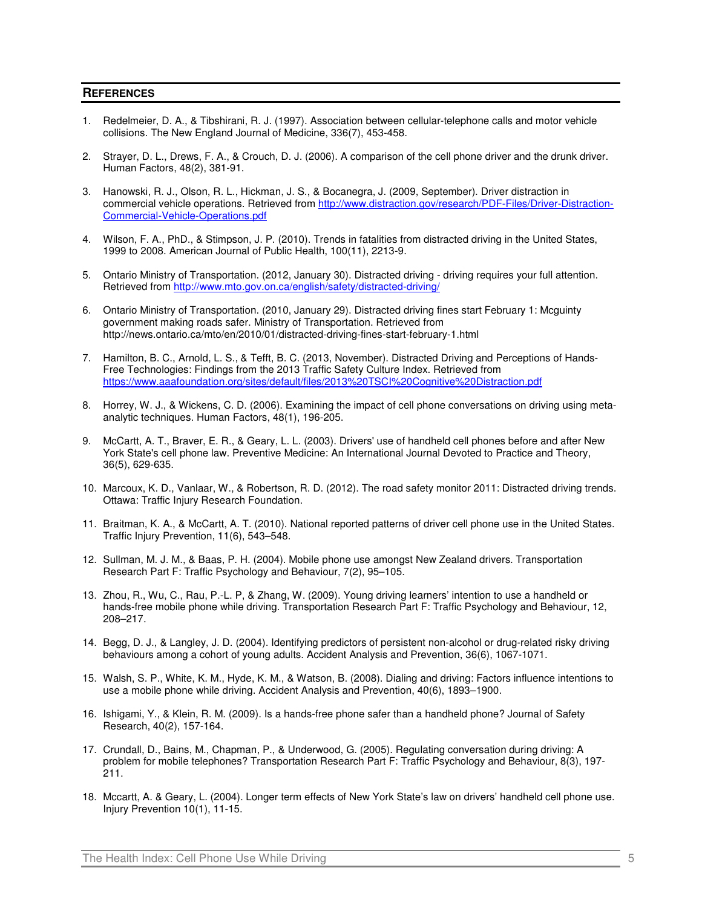#### **REFERENCES**

- 1. Redelmeier, D. A., & Tibshirani, R. J. (1997). Association between cellular-telephone calls and motor vehicle collisions. The New England Journal of Medicine, 336(7), 453-458.
- 2. Strayer, D. L., Drews, F. A., & Crouch, D. J. (2006). A comparison of the cell phone driver and the drunk driver. Human Factors, 48(2), 381-91.
- 3. Hanowski, R. J., Olson, R. L., Hickman, J. S., & Bocanegra, J. (2009, September). Driver distraction in commercial vehicle operations. Retrieved from http://www.distraction.gov/research/PDF-Files/Driver-Distraction-Commercial-Vehicle-Operations.pdf
- 4. Wilson, F. A., PhD., & Stimpson, J. P. (2010). Trends in fatalities from distracted driving in the United States, 1999 to 2008. American Journal of Public Health, 100(11), 2213-9.
- 5. Ontario Ministry of Transportation. (2012, January 30). Distracted driving driving requires your full attention. Retrieved from http://www.mto.gov.on.ca/english/safety/distracted-driving/
- 6. Ontario Ministry of Transportation. (2010, January 29). Distracted driving fines start February 1: Mcguinty government making roads safer. Ministry of Transportation. Retrieved from http://news.ontario.ca/mto/en/2010/01/distracted-driving-fines-start-february-1.html
- 7. Hamilton, B. C., Arnold, L. S., & Tefft, B. C. (2013, November). Distracted Driving and Perceptions of Hands-Free Technologies: Findings from the 2013 Traffic Safety Culture Index. Retrieved from https://www.aaafoundation.org/sites/default/files/2013%20TSCI%20Cognitive%20Distraction.pdf
- 8. Horrey, W. J., & Wickens, C. D. (2006). Examining the impact of cell phone conversations on driving using metaanalytic techniques. Human Factors, 48(1), 196-205.
- 9. McCartt, A. T., Braver, E. R., & Geary, L. L. (2003). Drivers' use of handheld cell phones before and after New York State's cell phone law. Preventive Medicine: An International Journal Devoted to Practice and Theory, 36(5), 629-635.
- 10. Marcoux, K. D., Vanlaar, W., & Robertson, R. D. (2012). The road safety monitor 2011: Distracted driving trends. Ottawa: Traffic Injury Research Foundation.
- 11. Braitman, K. A., & McCartt, A. T. (2010). National reported patterns of driver cell phone use in the United States. Traffic Injury Prevention, 11(6), 543–548.
- 12. Sullman, M. J. M., & Baas, P. H. (2004). Mobile phone use amongst New Zealand drivers. Transportation Research Part F: Traffic Psychology and Behaviour, 7(2), 95–105.
- 13. Zhou, R., Wu, C., Rau, P.-L. P, & Zhang, W. (2009). Young driving learners' intention to use a handheld or hands-free mobile phone while driving. Transportation Research Part F: Traffic Psychology and Behaviour, 12, 208–217.
- 14. Begg, D. J., & Langley, J. D. (2004). Identifying predictors of persistent non-alcohol or drug-related risky driving behaviours among a cohort of young adults. Accident Analysis and Prevention, 36(6), 1067-1071.
- 15. Walsh, S. P., White, K. M., Hyde, K. M., & Watson, B. (2008). Dialing and driving: Factors influence intentions to use a mobile phone while driving. Accident Analysis and Prevention, 40(6), 1893–1900.
- 16. Ishigami, Y., & Klein, R. M. (2009). Is a hands-free phone safer than a handheld phone? Journal of Safety Research, 40(2), 157-164.
- 17. Crundall, D., Bains, M., Chapman, P., & Underwood, G. (2005). Regulating conversation during driving: A problem for mobile telephones? Transportation Research Part F: Traffic Psychology and Behaviour, 8(3), 197- 211.
- 18. Mccartt, A. & Geary, L. (2004). Longer term effects of New York State's law on drivers' handheld cell phone use. Injury Prevention 10(1), 11-15.